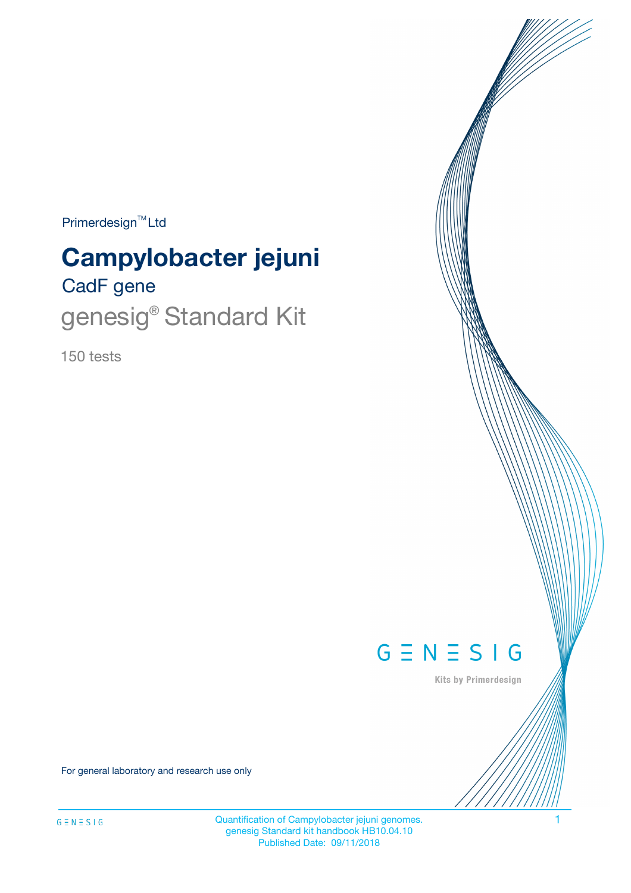Primerdesign<sup>™</sup>Ltd

# CadF gene **Campylobacter jejuni**

genesig<sup>®</sup> Standard Kit

150 tests



Kits by Primerdesign

For general laboratory and research use only

Quantification of Campylobacter jejuni genomes. 1 genesig Standard kit handbook HB10.04.10 Published Date: 09/11/2018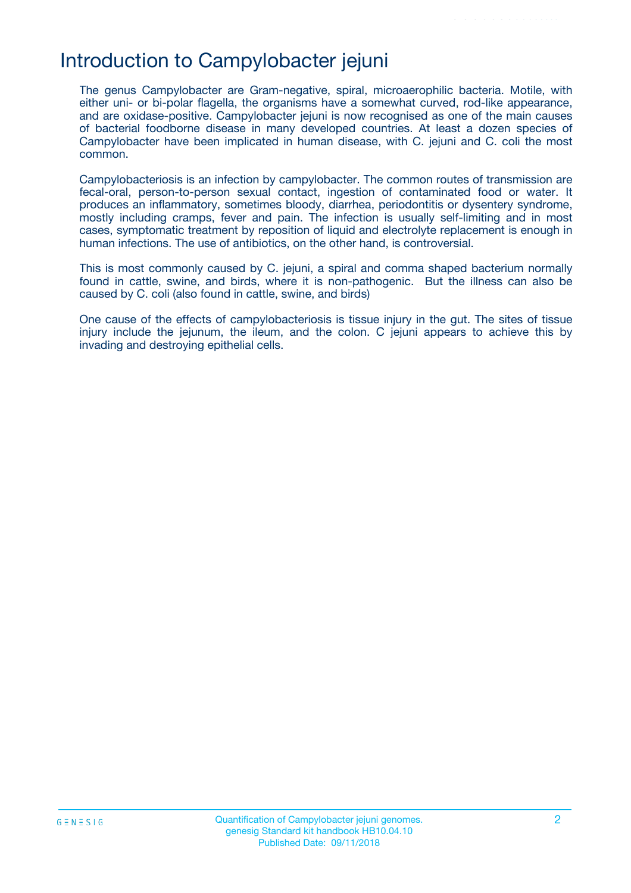### Introduction to Campylobacter jejuni

The genus Campylobacter are Gram-negative, spiral, microaerophilic bacteria. Motile, with either uni- or bi-polar flagella, the organisms have a somewhat curved, rod-like appearance, and are oxidase-positive. Campylobacter jejuni is now recognised as one of the main causes of bacterial foodborne disease in many developed countries. At least a dozen species of Campylobacter have been implicated in human disease, with C. jejuni and C. coli the most common.

Campylobacteriosis is an infection by campylobacter. The common routes of transmission are fecal-oral, person-to-person sexual contact, ingestion of contaminated food or water. It produces an inflammatory, sometimes bloody, diarrhea, periodontitis or dysentery syndrome, mostly including cramps, fever and pain. The infection is usually self-limiting and in most cases, symptomatic treatment by reposition of liquid and electrolyte replacement is enough in human infections. The use of antibiotics, on the other hand, is controversial.

This is most commonly caused by C. jejuni, a spiral and comma shaped bacterium normally found in cattle, swine, and birds, where it is non-pathogenic. But the illness can also be caused by C. coli (also found in cattle, swine, and birds)

One cause of the effects of campylobacteriosis is tissue injury in the gut. The sites of tissue injury include the jejunum, the ileum, and the colon. C jejuni appears to achieve this by invading and destroying epithelial cells.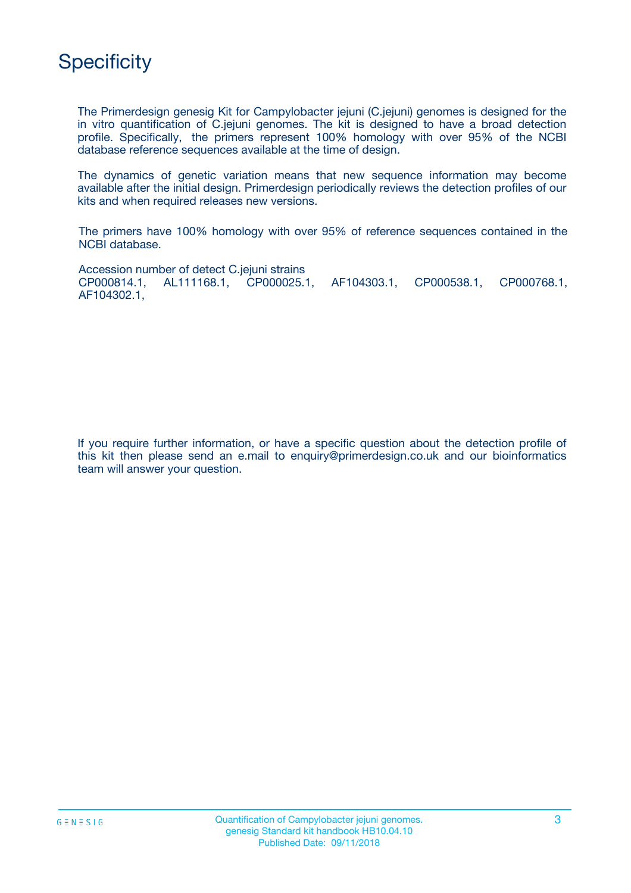

The Primerdesign genesig Kit for Campylobacter jejuni (C.jejuni) genomes is designed for the in vitro quantification of C.jejuni genomes. The kit is designed to have a broad detection profile. Specifically, the primers represent 100% homology with over 95% of the NCBI database reference sequences available at the time of design.

The dynamics of genetic variation means that new sequence information may become available after the initial design. Primerdesign periodically reviews the detection profiles of our kits and when required releases new versions.

The primers have 100% homology with over 95% of reference sequences contained in the NCBI database.

Accession number of detect C.jejuni strains CP000814.1, AL111168.1, CP000025.1, AF104303.1, CP000538.1, CP000768.1, AF104302.1,

If you require further information, or have a specific question about the detection profile of this kit then please send an e.mail to enquiry@primerdesign.co.uk and our bioinformatics team will answer your question.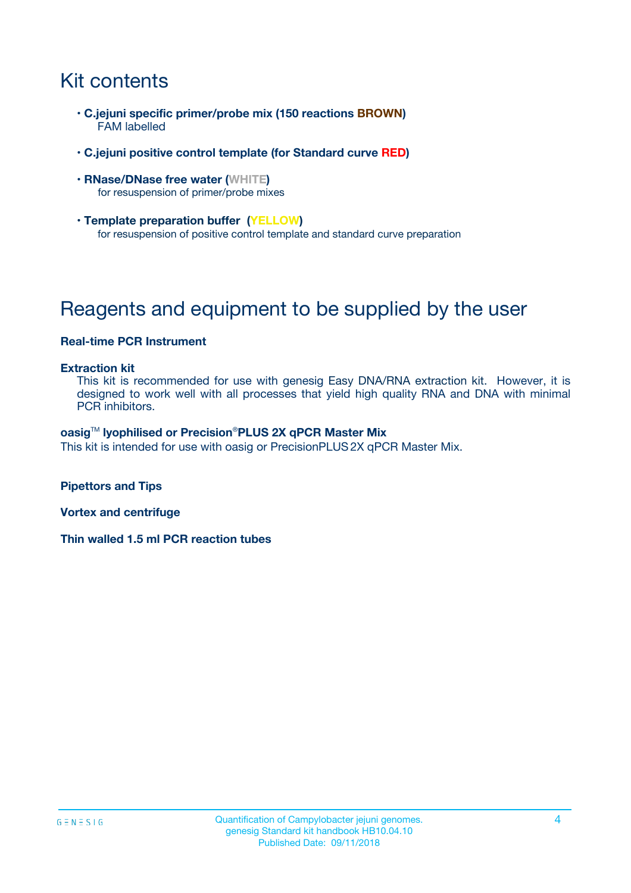## Kit contents

- **C.jejuni specific primer/probe mix (150 reactions BROWN)** FAM labelled
- **C.jejuni positive control template (for Standard curve RED)**
- **RNase/DNase free water (WHITE)** for resuspension of primer/probe mixes
- **Template preparation buffer (YELLOW)** for resuspension of positive control template and standard curve preparation

## Reagents and equipment to be supplied by the user

#### **Real-time PCR Instrument**

#### **Extraction kit**

This kit is recommended for use with genesig Easy DNA/RNA extraction kit. However, it is designed to work well with all processes that yield high quality RNA and DNA with minimal PCR inhibitors.

#### **oasig**TM **lyophilised or Precision**®**PLUS 2X qPCR Master Mix**

This kit is intended for use with oasig or PrecisionPLUS2X qPCR Master Mix.

**Pipettors and Tips**

**Vortex and centrifuge**

**Thin walled 1.5 ml PCR reaction tubes**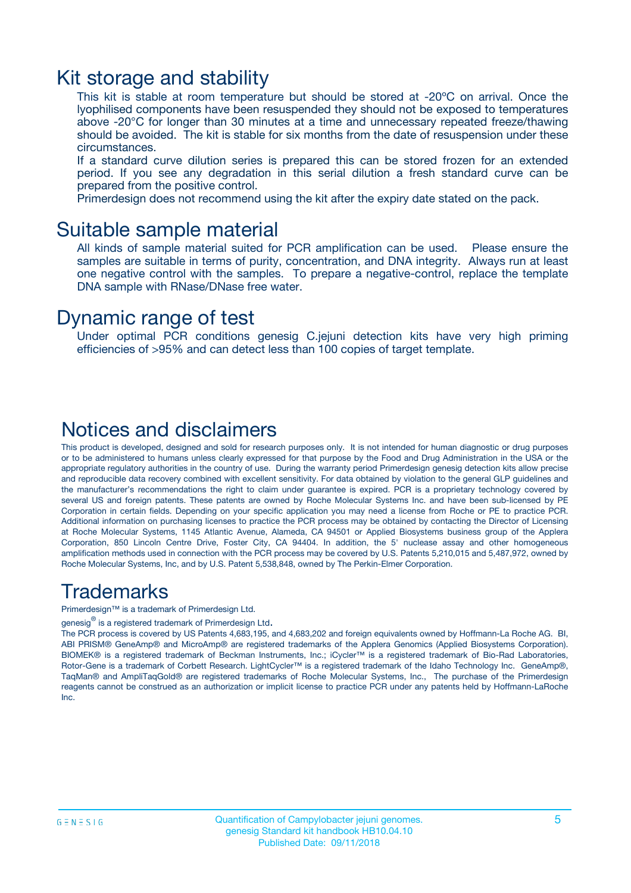### Kit storage and stability

This kit is stable at room temperature but should be stored at -20ºC on arrival. Once the lyophilised components have been resuspended they should not be exposed to temperatures above -20°C for longer than 30 minutes at a time and unnecessary repeated freeze/thawing should be avoided. The kit is stable for six months from the date of resuspension under these circumstances.

If a standard curve dilution series is prepared this can be stored frozen for an extended period. If you see any degradation in this serial dilution a fresh standard curve can be prepared from the positive control.

Primerdesign does not recommend using the kit after the expiry date stated on the pack.

### Suitable sample material

All kinds of sample material suited for PCR amplification can be used. Please ensure the samples are suitable in terms of purity, concentration, and DNA integrity. Always run at least one negative control with the samples. To prepare a negative-control, replace the template DNA sample with RNase/DNase free water.

### Dynamic range of test

Under optimal PCR conditions genesig C.jejuni detection kits have very high priming efficiencies of >95% and can detect less than 100 copies of target template.

### Notices and disclaimers

This product is developed, designed and sold for research purposes only. It is not intended for human diagnostic or drug purposes or to be administered to humans unless clearly expressed for that purpose by the Food and Drug Administration in the USA or the appropriate regulatory authorities in the country of use. During the warranty period Primerdesign genesig detection kits allow precise and reproducible data recovery combined with excellent sensitivity. For data obtained by violation to the general GLP guidelines and the manufacturer's recommendations the right to claim under guarantee is expired. PCR is a proprietary technology covered by several US and foreign patents. These patents are owned by Roche Molecular Systems Inc. and have been sub-licensed by PE Corporation in certain fields. Depending on your specific application you may need a license from Roche or PE to practice PCR. Additional information on purchasing licenses to practice the PCR process may be obtained by contacting the Director of Licensing at Roche Molecular Systems, 1145 Atlantic Avenue, Alameda, CA 94501 or Applied Biosystems business group of the Applera Corporation, 850 Lincoln Centre Drive, Foster City, CA 94404. In addition, the 5' nuclease assay and other homogeneous amplification methods used in connection with the PCR process may be covered by U.S. Patents 5,210,015 and 5,487,972, owned by Roche Molecular Systems, Inc, and by U.S. Patent 5,538,848, owned by The Perkin-Elmer Corporation.

### Trademarks

Primerdesign™ is a trademark of Primerdesign Ltd.

genesig $^\circledR$  is a registered trademark of Primerdesign Ltd.

The PCR process is covered by US Patents 4,683,195, and 4,683,202 and foreign equivalents owned by Hoffmann-La Roche AG. BI, ABI PRISM® GeneAmp® and MicroAmp® are registered trademarks of the Applera Genomics (Applied Biosystems Corporation). BIOMEK® is a registered trademark of Beckman Instruments, Inc.; iCycler™ is a registered trademark of Bio-Rad Laboratories, Rotor-Gene is a trademark of Corbett Research. LightCycler™ is a registered trademark of the Idaho Technology Inc. GeneAmp®, TaqMan® and AmpliTaqGold® are registered trademarks of Roche Molecular Systems, Inc., The purchase of the Primerdesign reagents cannot be construed as an authorization or implicit license to practice PCR under any patents held by Hoffmann-LaRoche Inc.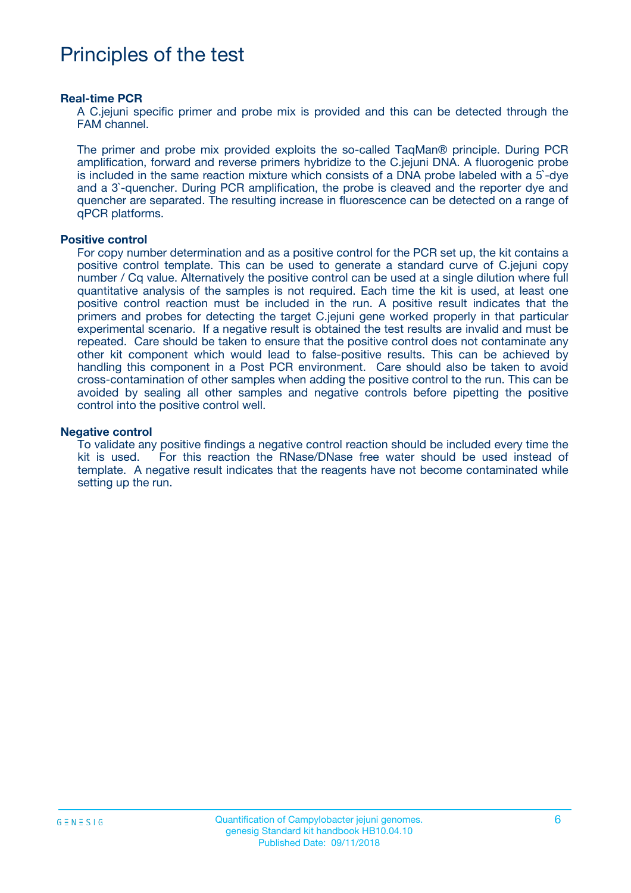### Principles of the test

#### **Real-time PCR**

A C.jejuni specific primer and probe mix is provided and this can be detected through the FAM channel.

The primer and probe mix provided exploits the so-called TaqMan® principle. During PCR amplification, forward and reverse primers hybridize to the C.jejuni DNA. A fluorogenic probe is included in the same reaction mixture which consists of a DNA probe labeled with a 5`-dye and a 3`-quencher. During PCR amplification, the probe is cleaved and the reporter dye and quencher are separated. The resulting increase in fluorescence can be detected on a range of qPCR platforms.

#### **Positive control**

For copy number determination and as a positive control for the PCR set up, the kit contains a positive control template. This can be used to generate a standard curve of C.jejuni copy number / Cq value. Alternatively the positive control can be used at a single dilution where full quantitative analysis of the samples is not required. Each time the kit is used, at least one positive control reaction must be included in the run. A positive result indicates that the primers and probes for detecting the target C.jejuni gene worked properly in that particular experimental scenario. If a negative result is obtained the test results are invalid and must be repeated. Care should be taken to ensure that the positive control does not contaminate any other kit component which would lead to false-positive results. This can be achieved by handling this component in a Post PCR environment. Care should also be taken to avoid cross-contamination of other samples when adding the positive control to the run. This can be avoided by sealing all other samples and negative controls before pipetting the positive control into the positive control well.

#### **Negative control**

To validate any positive findings a negative control reaction should be included every time the kit is used. For this reaction the RNase/DNase free water should be used instead of template. A negative result indicates that the reagents have not become contaminated while setting up the run.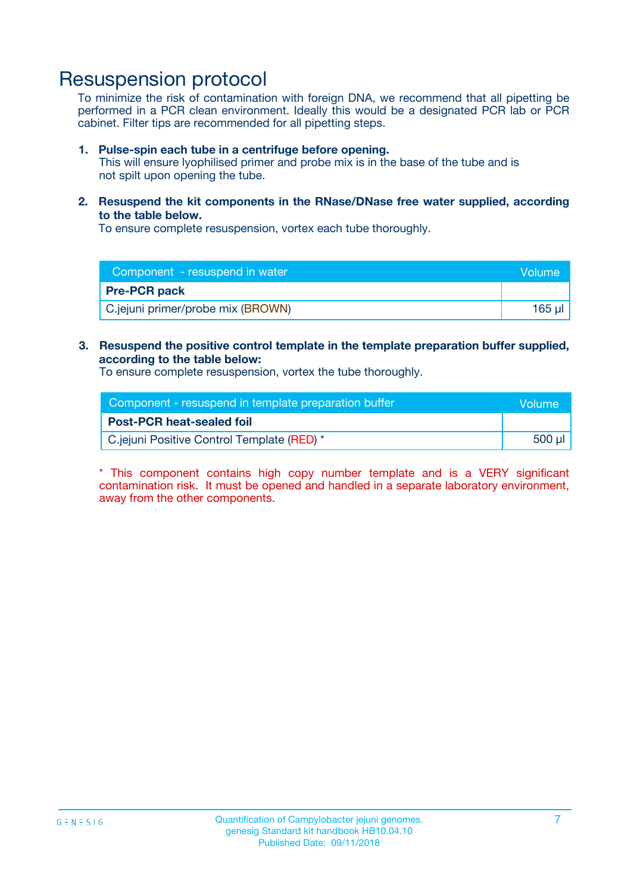### Resuspension protocol

To minimize the risk of contamination with foreign DNA, we recommend that all pipetting be performed in a PCR clean environment. Ideally this would be a designated PCR lab or PCR cabinet. Filter tips are recommended for all pipetting steps.

#### **1. Pulse-spin each tube in a centrifuge before opening.**

This will ensure lyophilised primer and probe mix is in the base of the tube and is not spilt upon opening the tube.

**2. Resuspend the kit components in the RNase/DNase free water supplied, according to the table below.**

To ensure complete resuspension, vortex each tube thoroughly.

| Component - resuspend in water    | Volume      |
|-----------------------------------|-------------|
| <b>Pre-PCR pack</b>               |             |
| C.jejuni primer/probe mix (BROWN) | $165$ $\mu$ |

#### **3. Resuspend the positive control template in the template preparation buffer supplied, according to the table below:**

To ensure complete resuspension, vortex the tube thoroughly.

| Component - resuspend in template preparation buffer | lVolume' |
|------------------------------------------------------|----------|
| <b>Post-PCR heat-sealed foil</b>                     |          |
| C.jejuni Positive Control Template (RED) *           | 500 µl   |

\* This component contains high copy number template and is a VERY significant contamination risk. It must be opened and handled in a separate laboratory environment, away from the other components.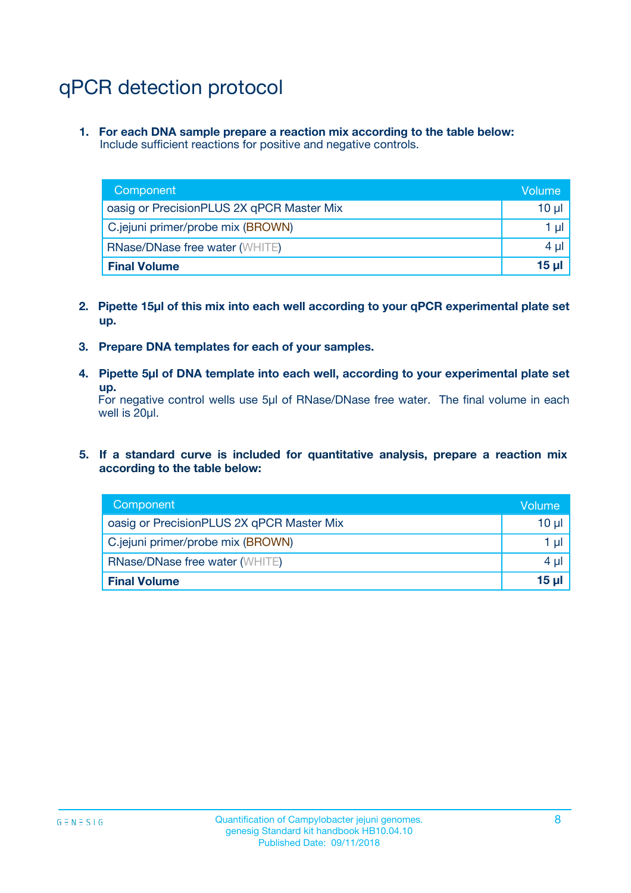## qPCR detection protocol

**1. For each DNA sample prepare a reaction mix according to the table below:** Include sufficient reactions for positive and negative controls.

| Component                                 | Volume          |
|-------------------------------------------|-----------------|
| oasig or PrecisionPLUS 2X qPCR Master Mix | 10 $\mu$        |
| C.jejuni primer/probe mix (BROWN)         | 1 $\mu$         |
| <b>RNase/DNase free water (WHITE)</b>     | $4 \mu$         |
| <b>Final Volume</b>                       | 15 <sub>µ</sub> |

- **2. Pipette 15µl of this mix into each well according to your qPCR experimental plate set up.**
- **3. Prepare DNA templates for each of your samples.**
- **4. Pipette 5µl of DNA template into each well, according to your experimental plate set up.**

For negative control wells use 5µl of RNase/DNase free water. The final volume in each well is 20µl.

**5. If a standard curve is included for quantitative analysis, prepare a reaction mix according to the table below:**

| Component                                 | Volume          |
|-------------------------------------------|-----------------|
| oasig or PrecisionPLUS 2X qPCR Master Mix | 10 µl           |
| C.jejuni primer/probe mix (BROWN)         | 1 µI            |
| <b>RNase/DNase free water (WHITE)</b>     | $4 \mu$         |
| <b>Final Volume</b>                       | 15 <sub>µ</sub> |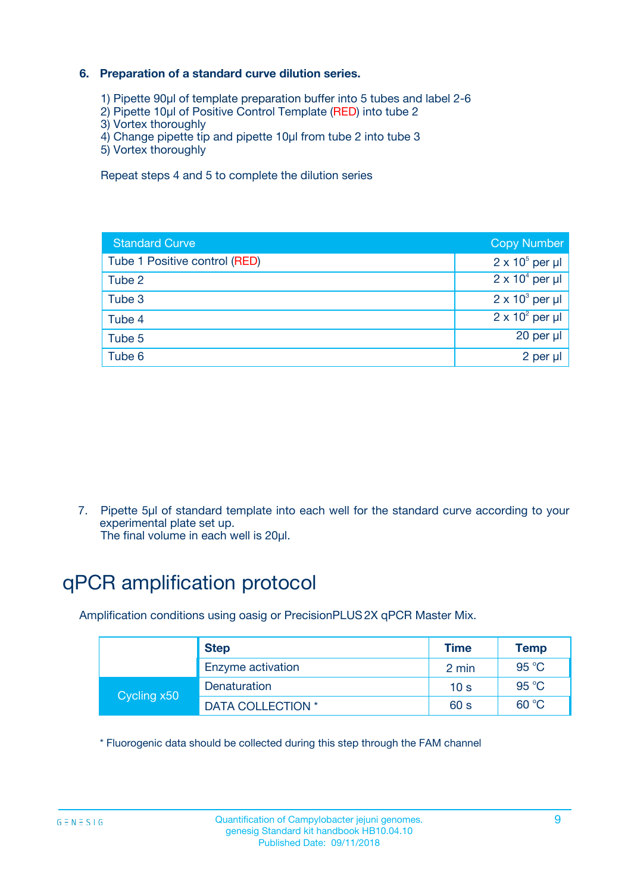#### **6. Preparation of a standard curve dilution series.**

- 1) Pipette 90µl of template preparation buffer into 5 tubes and label 2-6
- 2) Pipette 10µl of Positive Control Template (RED) into tube 2
- 3) Vortex thoroughly
- 4) Change pipette tip and pipette 10µl from tube 2 into tube 3
- 5) Vortex thoroughly

Repeat steps 4 and 5 to complete the dilution series

| <b>Standard Curve</b>         | <b>Copy Number</b>     |
|-------------------------------|------------------------|
| Tube 1 Positive control (RED) | $2 \times 10^5$ per µl |
| Tube 2                        | $2 \times 10^4$ per µl |
| Tube 3                        | $2 \times 10^3$ per µl |
| Tube 4                        | $2 \times 10^2$ per µl |
| Tube 5                        | 20 per µl              |
| Tube 6                        | $2$ per $\mu$          |

7. Pipette 5µl of standard template into each well for the standard curve according to your experimental plate set up.

The final volume in each well is 20µl.

## qPCR amplification protocol

Amplification conditions using oasig or PrecisionPLUS2X qPCR Master Mix.

| <b>Step</b> |                   | <b>Time</b>     | <b>Temp</b> |
|-------------|-------------------|-----------------|-------------|
|             | Enzyme activation | 2 min           | 95 °C       |
| Cycling x50 | Denaturation      | 10 <sub>s</sub> | 95 $°C$     |
|             | DATA COLLECTION * | 60 s            | 60 °C       |

\* Fluorogenic data should be collected during this step through the FAM channel